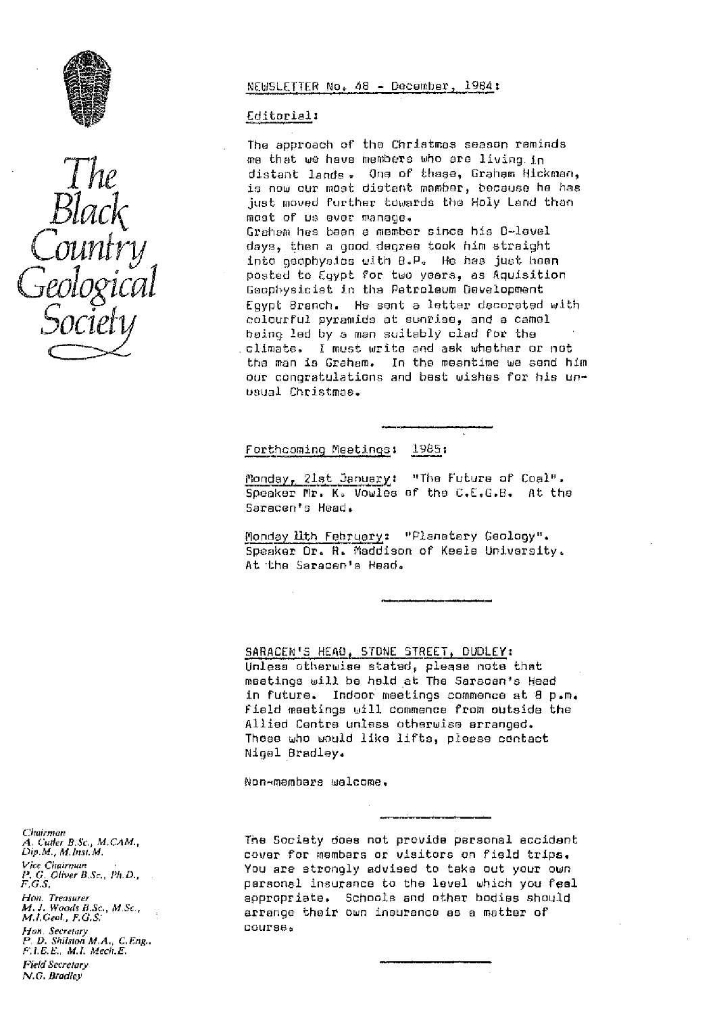

# NEWSLETTER No. 48 - December, 1984:

## Editorial:

The approach of the Christmas season reminds me that we have members who are living in distant lands. One of these, Graham Hickman, is now our most distant mamber, because he has just moved further towards the Holy Land than most of us ever manage. Graham has been a member since his B-level days, then a good degree took him straight into asophysics with B.P. He has just heen posted to Eqypt for two years, as Aquisition Geophysicist in the Petroleum Development Eavot Branch. He sent a letter decorated with colourful pyramids at sunrise, and a camel being led by a man suitably clad for the climate. I must write and ask whether or not the man is Graham. In the meantime we send him our congratulations and bast wishes for his unusual Christmas.

# Forthcoming Meetings: 1985:

Monday, 21st January: "The Future of Coal". Speaker Mr. K. Vowles of the C.E.G.B. At the Saracen's Head.

Monday Mth February: "Planatary Geology". Speaker Dr. R. Maddison of Keele University. At the Saracen's Head.

SARACEN'S HEAD, STONE STREET, DUDLEY:

Unless otherwise stated, please note that meetings will be held at The Saracan's Head in future. Indoor meetings commence at 8 p.m. field meetings will commence from outside the Allied Centre unless otherwise arragoed. Those who would like lifts, please contact Nicel Bradley.

Non-membars welcome.

The Society does not provide personal accident cover for members or visitors on field trips. You are strongly advised to take out your own personal insurance to the level which you feel appropriate. Schools and other bodies should arrange thair own insurance as a matter of course.

Chairman 4. Cutter B.Sc., M.CAM., Dip.M., M.Insi.M. Vice Chairman<br>P. G. Oliver B.Sc., Ph.D.,<br>F.G.S. Hon. Treasurer<br>M. J. Woods B.Sc., M.Sc.,<br>M.I.Geol., F.G.S. Hon Secretary D. Shilston M.A., C.Eng., F.I.E.E., M.I. Mech.E. **Field Secretary** N.G. Bradley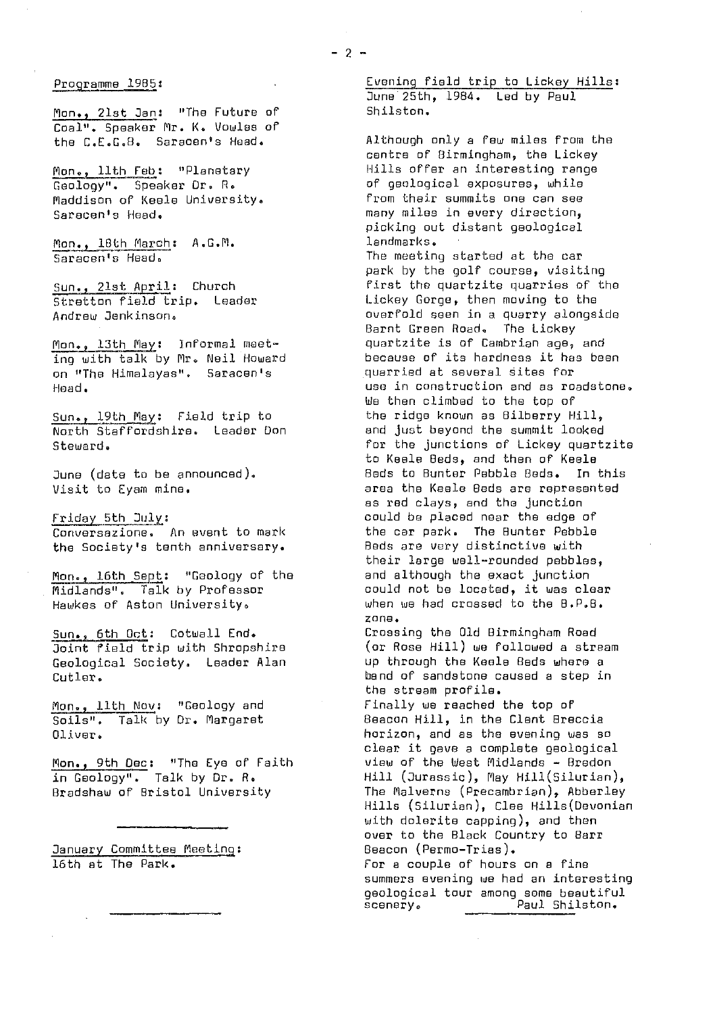Mon., 21st Jan: "The Future of Coal". Speaker Mr. K. Vowles of

Maddison of Keele University.<br>Saracan's Head.

Mon., 18th March: A.G.M.<br>Saracen's Head.

Stretton field trip. Leader<br>Andrew Jenkinson.

ing with talk by Mr. Neil Howard<br>on "The Himalayas", Saracen's substantied at several sites for on "The Himalayas". Saracen's<br>Head.

Sun., 19th May: Field trip to<br>North Staffordshire. Leader Don

Conversazione. An event to mark the car park. The Bunter Pebb.<br>the Society's tenth anniversary. Beds are very distinctive with the Society's tenth anniversary.

Midlands". Talk by Professor and could not be located, it was clear<br>Hawkes of Aston Hoiversity. The when we had crossed to the B.P.B. Hawkes of Aston University.

Geological Society. Leader Alan

Mon., 11th Nov: "Geology and<br>Soils". Talk by Dr. Margaret

Mon., 9th Dec: "The Eye of Faith<br>in Geology". Talk by Dr. R.

January Committee Meeting:<br>16th at The Park.

Programme 1985: The Common Evening field trip to Lickey Hills: June 25th, 1984. Led by Paul<br>Shilston.

Although only a few miles from the centre of Birmingham, the Lickey<br>Hills offer an interesting range Mon., 11th Feb: "Planetary The Hills offer an interesting range in the Money Money of geological exposures. while Geology". Speaker Dr. R. of geological exposures, while<br>Maddison of Keele University. from their summits one can see many miles in every direction, picking out distant geological<br>landmarks. The meeting started at the car park by the golf course, visiting  $\frac{Sun.,\quad21st April:$  Church external first the quartzite quarries of the stretten field trip. Leader overfold seen in a quarry alongside Barnt Green Road. The Lickey<br>quartzite is of Cambrian age. and Mon., 13th May: Informal meet- quartzite is of Cambrian age, and<br>inn with talk by Mr. Neil Howard because of its hardness it has been use in construction and as roadstone. We then climbed to the top of<br>the ridge known as Bilberry Hill, North Staffordshire. Leader Don and just beyond the summit looked for the junctions of Lickey quartzite to Keefe Beds, and then of Keele June (date to be announced). Beds to Bunter Pebble Beds. In this area the Keele Beds are represented as red clays, and the junction Friday 5th July:<br>Conversazione. An event to mark and the car park. The Bunter Pebble their large well-rounded pebbles,<br>and although the exact junction Mon., 16th Sept: "Geology of the and although the exact junction<br>Midlands". Talk by Professor could not be located, it was clear zone.<br>Crossing the Old Birmingham Road Sun., 6th Oct: Cotwall End. Crossing the Old Birmingham Road<br>Joint field trip with Shropshire (or Rose Hill) we followed a stream

Joint field trip with Shropshire (or Rose Hill) we followed a stream<br>Geological Society. Leader Alan up through the Keele Beds where a  $\text{Cut} \text{ler}$ .  $\text{L} \text{Per}$ the stream profile.<br>Finally we reached the top of

Soils". Talk by Dr. Margaret Beacon Hill, in the Clent Breccia<br>Oliver. Diver. Oliver. horizon, and as the evening was so clear it gave a complete geological<br>view of the West Midlands - Bredon in Geology". Talk by Dr. B. Hill (Jurassic), May Hil3.(Silurian), The Malverns (Precambrian), Abberley Hills (Silurian), Clee Hills(Devonian with dolerite capping), and then over to the Black Country to Barr<br>Beacon (Permo-Trias). For a couple of hours on a fine summers evening we had an interesting geological tour among some beautiful sceneryo Paul Shilston.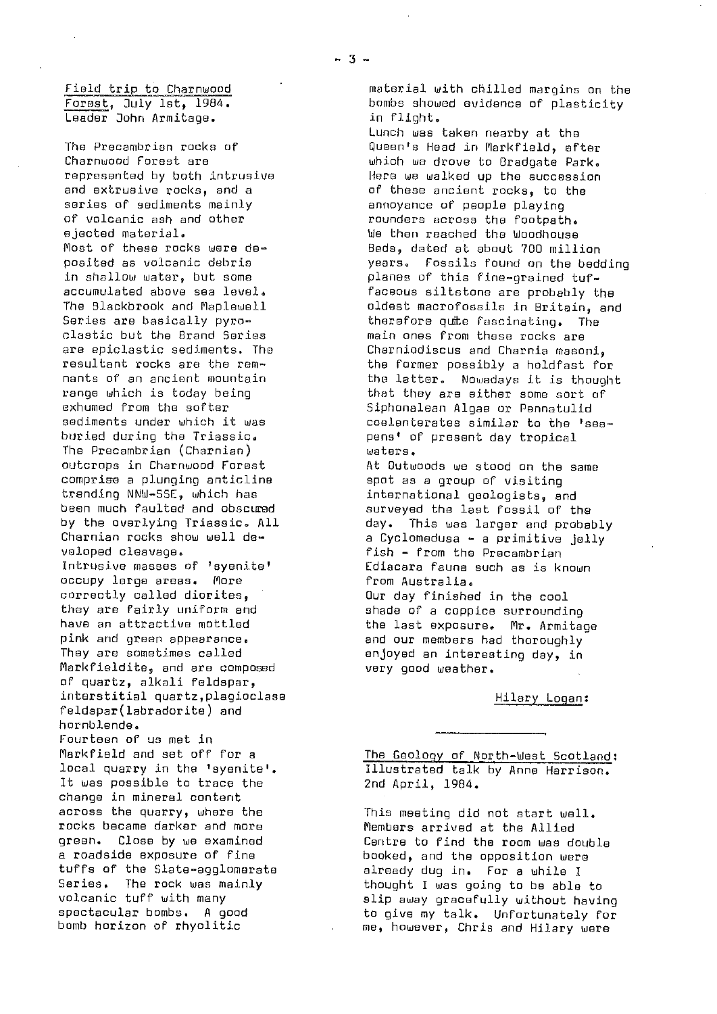Leader John Armitage.

series of sediments mainly<br>of volcanic ash and other annoyance of people playing<br>rounders across the footpati of volcanic ash and other rounders across the footpath.<br>ejected material. ejected material.<br>1998: 1W) which were the Most of the Woodhouse (1999) eds. dated at about 200 mill clastic but the Brand Series **main ones from these rocks are**<br>are epiclastic sediments. The **charmic Charnical Series and Charnia** maso The Precambrian (Charnian)<br>outcrops in Charnwood Forest comprise a plunging anticline<br>trending NNW-SSE, which has trending NNW-SSE, which has international geologists, and veloped cleavage. fish - from the Precambrian occupy large areas. More correctly called diorites,  $\begin{array}{ccc} \text{Our day finished in the cool} \ \text{there} \end{array}$ they are fairly uniform and shade of a coppice surrounding pink and green appearance.<br>They are sometimes called and our members had thoroughly Markfieldite, and are composed of quartz, alkali feldspar, interstitial quartz, plagioclase https://www.hindary.cogan: feldspar(labradorite) and hor nblende. Fourteen of us met in

It was possible to trace the change in mineral content rocks became darker and more Members arrived at the Allied qreen. Close by we examined Centre to find the room was de

Lunch was taken nearby at the The Precambrian rocks of and the Queen's Head in Markfield, after<br>Charnwood Forest are Charnwood Forest are<br>
represented by both intrusive which we drove to Bradgate Park. represented by both intrusive Here we walked up the succession and extrusive rocks, and a same these ancient rocks, to the series of sediments mainly Most of these rocks were de- Beds, dated at about 700 million posited as volcanic debris years. Fossils found on the bedding<br>in shallow water. but some yearly planes of this fine-orained tufin shallow water, but some in the planes of this fine-grained tuf-<br>| faceous siltstone are probably to the control of the socumulated above sea level. accumulated above sea level.<br>The Blackbrook and Maplewell **faceous siltstone are probably the** The Blackbrook and Maplewell **oldest macrofossils in Britain, and**<br>Series are basically pyro- **come in the fascination** (The Series are basically pyro- therefore quite fascinating. The clastic the clastic street of the clastic present<br>clastic but the Brand Series show thein ones from these rocks are are epiclastic sediments. The charniodiscus and Charnia masoni,<br>resultant rocks are the rem- charniche former possibly a boldfast fo resultant rocks are the rem- **the former possibly a holdfast for**<br>nants of an ancient mountain **the latter. Nowadays it is though** nants of an ancient mountain in the latter. Nowadays it is thought<br>range which is today being in the they are either some sort of range which is today being that they are either some sort of that they are either some sort of that the softer<br>Exhumed from the softer the softer that Siphonalean Alnae or Pennatulid exhumed from the softer<br>sediments under which it was some coelenterates similar to the is sediments under which it was exampled coelenterates similar to the 'sea-<br>buried during the Triassic. The sens' of present day tropical pens' of present day tropical<br>waters.

At Outwoods we stood on the same<br>spot as a group of visiting been much faulted and obscured surveyed the last fossil of the<br>by the overlying Triassic. All states and probability of the surveyed the larger and probability of the state by the overlying Triassic. All and day. This was larger and probably<br>Charnian rocks show well de- a cyclomedusa - a primitive jelly Charnian rocks show well de-  $\begin{array}{ccc} \hbox{a } \mbox{Cyclombedus} & - & \mbox{a } \mbox{primitive} & \mbox{j} \mbox{elly} \\ \hbox{v} & \mbox{closed } \mbox{classedus} & - & \mbox{first} & - & \mbox{from the Pracambrian} \end{array}$ Ediacara fauna such as is known<br>from Australia.

have an attractive mottled the last exposure. Mr. Armitage<br>pink and green appearance. The the and our members had thoroughly enjoyed an interesting day, in<br>very good weather.

Markfield and set off for a<br>local quarry in the 'syenite'. Tilustrated talk by Anne Harrison. Illustrated talk by Anne Harrison.<br>2nd April, 1984.

across the quarry, where the This meeting did not start well.<br>rocks became darker and more Members arrived at the Allied green. Close by we examined a contre to find the room was double<br>a roadside exposure of fine a cooked, and the opposition were a roadside exposure of fine booked, and the opposition were<br>tuffs of the Slate-agglomerate booked, already duo in. For a while I tuffs of the Slate-agglomerate already dug in. For a while I<br>Series, The rock was mainly and thought I was going to be able Series. The rock was mainly thought I was going to be able to<br>volcanic tuff with many the selip away gracefully without having volcanic tuff with many single slip away gracefully without having<br>spectacular bombs, A good spectrum to give my talk, Unfortunately for spectacular bombs. A good to give my talk. Unfortunately for<br>bomb horizon of rhyolitic the same, however. Chris and Hilary were me, however, Chris and Hilary were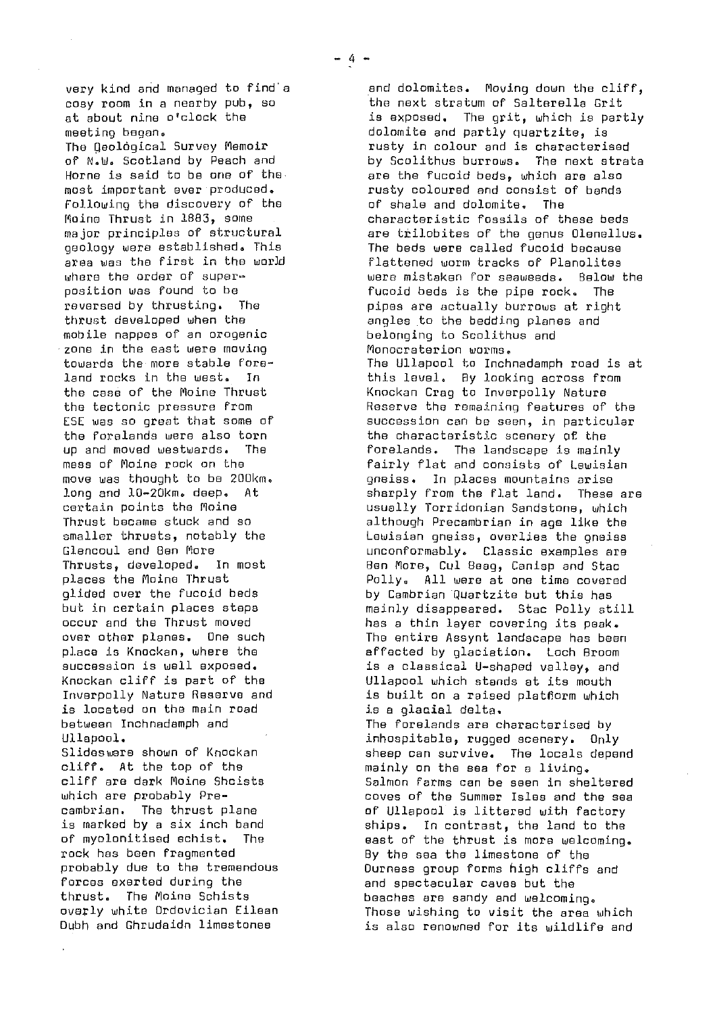Following the discovery of the of shale and dolomite. The geology were established. This<br>area was the first in the world mobile nappes of an orogenic in the belonging to Scolith<br>In the east were moving in the Monocraterion worms. zone in the east were moving<br>towards the more stable foreis located on the main road forces exerted during the and spectacular caves but the formulation of the capaches are sandy and welcoming the special species of the capaches are sandy and welcoming the special special special special special special sp

very kind and managed to find a and dolomites. Moving down the cliff,<br>cosy room in a nearby pub, so a line next stratum of Salterella Grit cosy room in a nearby pub, so the next stratum of Salterella Grit<br>at about nine o'clock the the the sare is axposed. The grit, which is part at about nine o'clock the is exposed. The grit, which is partly<br>meeting began. The is the dolomite and partly quartzite. is meeting began.<br>The Qeological Survey Memoir rusty in colour and is characteri The Geological Survey Memoir **rusty in colour and is characterised**<br>of N.W. Scotland by Peach and **he are to by Scolithus burrows. The next stra**t of N.W. Scotland by Peach and by Scolithus burrows. The next strata<br>Horne is said to be one of the strate are the fucoid beds. which are also Horne is said to be one of the- are the fucoid beds, which are also<br>most important ever produced. rusty coloured and consist of bands rusty coloured and consist of bands<br>of shale and dolomite. The Moine Thrust in 1883, some characteristic fossils of these beds<br>major principles of structural care trilobites of the genus Olenelly are trilobites of the genus Olenellus.<br>The beds were called fucoid because area was the first in the world **of the flattened worm tracks of Planolites**<br>where the order of super- **the contract were mistaken for seaweeds.** Below where the order of super- were mistaken for seaweeds. Below the<br>position was found to be when we fucoid beds is the pipe rock. The position was found to be fucoid beds is the pipe rock. The reversed by thrusting. The function of pipes are actually burrows at right reversed by thrusting. The pipes are actually burrows at right<br>thrust developed when the philip angles to the bedding planes and angles to the bedding planes and<br>belonging to Scolithus and towards the more stable fore- The Ullapool to Inchnadamph road is at<br>land rocks in the west. In The this level. By looking across from land rocks in the west. In this level. By looking across from<br>the case of the Moine Thrust Knockan Crag to Inverpolly Nature the case of the Moine Thrust **Knockan Crag to Inverpolly Nature**<br>the tectonic pressure from **the Reserve the remaining features** of the tectonic pressure from The Reserve the remaining features of the Reserve the remaining features of the Reserve in particular ESE was so great that some of succession can be seen, in particular<br>the forelands were also torn states the characteristic scenery of the the characteristic scenery of the up and moved westwards. The state of the forelands. The landscape is mainly up and moved westwards. The state mess of Moine rock on the fairly flat and consists of Lewisian<br>move was thought to be 200km. qneiss. In places mountains arise move was thought to be 200km. gneiss. In places mountains arise<br>long and l0-20km. deep. At sharply from the flat land. These long and 10-20km. deep. At sharply from the flat land. These are<br>certain points the Moine sharp is usually Torridonian Sandstone. which certain points the Moine usually Torridonian Sandstone, which<br>Thrust became stuck and so usual although Precambrian in age like the Thrust became stuck and so although Precambrian in age like the<br>smaller thrusts, notably the solution angles, overlies the oneiss smaller thrusts, notably the Lewisian gneiss, overlies the gneiss Glencoul and Ben More unconformably. Classic examples are Thrusts, developed. In most Ben More, Cul Beag, Caniop and Stac places the Moino Thrust Pollyu All were at one time covered glided over the fucoid beds<br>but in certain places steps by Cambrian Quartzite but this has but in certain places steps and mainly disappeared. Stac Polly still because the Thrust moved and the state in<br>becaur and the Thrust moved and the state of thin laver covering its peak. occur and the Thrust moved has a thin layer covering its peak.<br>over other planes. One such has a file entire Assynt landscape has bee over other planes. One such The entire Assynt landscape has been<br>place is Knockan, where the The affected by glaciation. Loch Broom place is Knockan, where the and the affected by glaciation. Loch Broom place is a classical U-shaped valley, and succession is well exposed.  $\begin{array}{ccc} \text{is a classical U-shaped valley, and} \end{array}$ Knockan cliff is part of the Ullapool which stands at its mouth is built on a raised platflorm which<br>is a glacial delta. between Inchnadamph and The forelands are characterised by Ullapool.<br>Slideswere shown of Knockan is a sheep can survive. The locals dependent Slideswere shown of Knockan sheep can survive. The locals depend<br>cliff. At the top of the state sheep on the sea for a living. cliff. At the top of the mainly on the sea for a living. cliff are dark Moine Shcists Salmon farms can be seen in sheltered which are probably Pre- coves of the Summer Isles and the sea<br>cambrian. The thrust plane came of Ullapool is littered with factory cambrian. The thrust plane of Ullapool is littered with factory<br>is marked by a six inch band of the ships. In contrast, the land to the is marked by a six inch band ships. In contrast, the land to the<br>of myolonitised echist. The seast of the thrust is more welcoming of myolonitised schist. The east of the thrust is more welcoming.<br>rock has been fragmented entitly the sealing the limestone of the rock has been fragmented By the sea the limestone of the probably due to the tremendous Durness group forms high cliffs probably due to the tremendous Ourness group forms high cliffs and thrust. The Moine Schists beaches are sandy and welcoming.<br>overly white Ordovician Eilean Those wishing to visit the area : overly white Ordovician Eileen Those wishing to visit the area which is also renowned for its wildlife and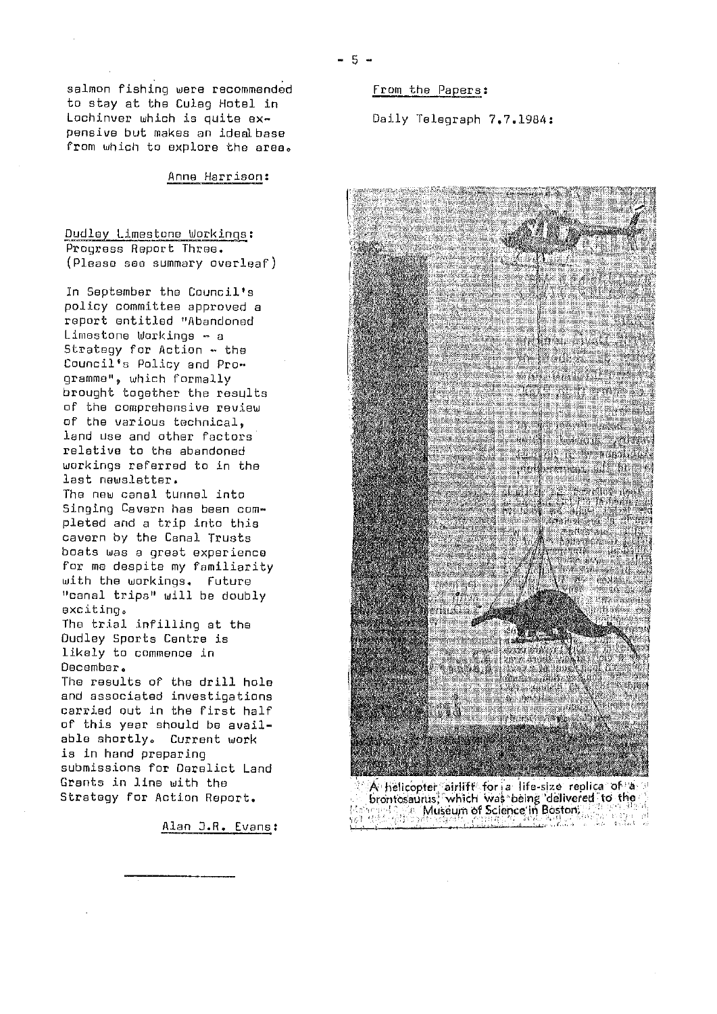salmon fishing were recommended to stay at the Culag Hotel in Lochinver which is quite expensive but makes an idealbase from which to explore the area.

Anne Harrison:

Dudley Limestone Workings: Progress Report Three. (Please see summary overleaf)

In September the Council's policy committee approved a report entitled "Abandoned Limestone Workings - a Strategy for Action - the Council's Policy and Programme", which formally brought together the results of the comprehensive review of the various technical. land use and other factors relative to the abandoned workings referred to in the last newsletter. The new canal tunnel into Singing Cavern has been completed and a trip into this cavern by the Canal Trusts boats was a great experience

for me despite my familiarity with the workings. Future "canal trips" will be doubly exciting. The trial infilling at the

Dudley Sports Centre is likely to commence in December.

The results of the drill hole and associated investigations carried out in the first half of this year should be available shortly. Current work is in hand preparing submissions for Derelict Land Grants in line with the Strategy for Action Report.

Alan J.R. Evans:

From the Papers:

Daily Telegraph 7.7.1984:



 $-5 -$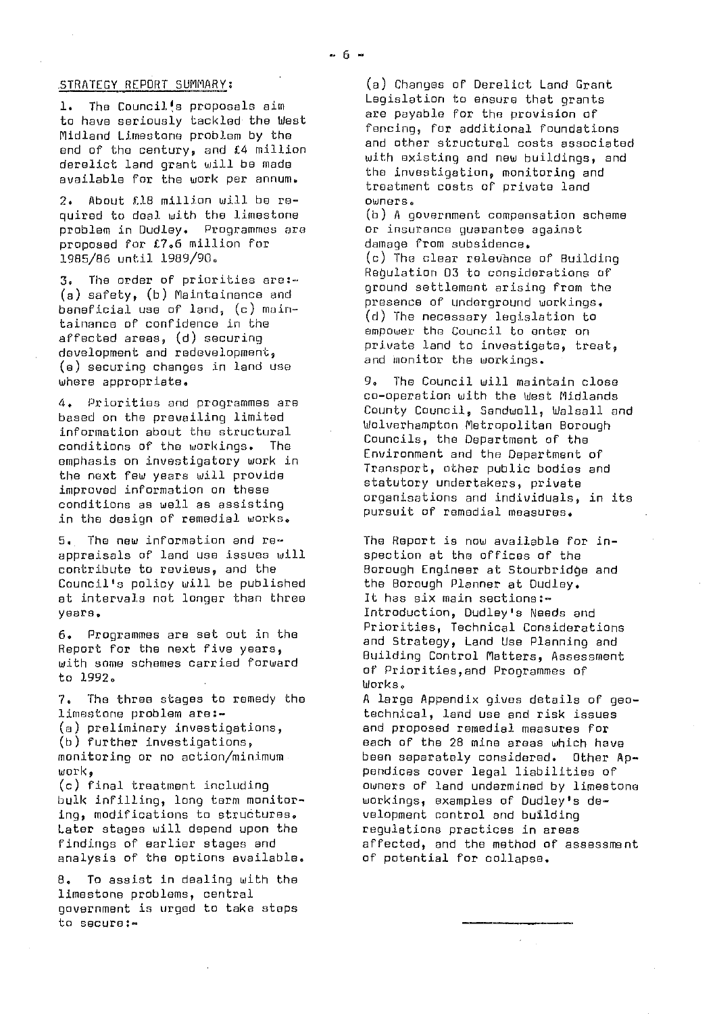## .STRATEGY REPORT SUMMARY

1. The Council's proposals aim to have seriously tackled the West Midland Limestone problem by the end of the century, and £4 million derelict land grant will be made available for the work per. annum.

2. About £18 million will be required to deal with the limestone problem in Dudley. Programmes are proposed for £7.6 million for 1985/86 until 1989/90.

3. The order of priorities are .- (a) safety, (b) Maintainance and beneficial use of land,  $(c)$  maintainance of confidence in the affected areas, (d) securing development and redevelopment, (e) securing changes in land use where appropriate.

4. Priorities and programmes are based on the prevailing limited information about the structural conditions of the workings. The emphasis on investigatory work in the next few years will provide improved information on these conditions as well as assisting in the design of remedial works.

5. The now information and re appraisals of land use issues will contribute to reviews, and the Council's policy will be published at intervals not longer than three years.

6. Programmes are set out in the Report for the next five years, with some schemes carried forward to 1992.

7. The three stages to remedy the limestone problem are:-(a) preliminary investigations, (b) further investigations, monitoring or no action/minimum work,

(c) final treatment including bulk infilling, long term monitoring, modifications to structures. Later stages will depend upon the findings of earlier stages and analysis of the options available,

8. To assist in dealing with the limestone problems, central government is urged to take steps to secure:-

(a) Changes of Derelict Land Grant Legislation to ensure that grants are payable for the provision of fencing, for additional foundations and other structural costs associated with existing and new buildings, and the investigation, monitoring and treatment costs of' private land owners.

(b) A government compensation scheme or insurance guarantee against damage from subsidence. (c) The clear relevance of Building Requlation 03 to considerations of ground settlement arising from the presence of underground workings. (d) The necessary legislation to empower the Council to enter on private land to investigate, treat, and monitor the workings.

9. The Council will maintain close co-operation with the West Midlands County Council, Sandwell, Walsall and Wolverhampton Metropolitan Borough Councils, the Department of the Environment and the Department of Transport, other public bodies and statutory undertakers, private organisations and individuals, in its pursuit of remedial measures.

The Report is now available for inspection at the offices of the Borough Engineer at Stourbridje and the Borough Planner at Dudley. It has six main sections:-Introduction, Dudley's Needs and Priorities, Technical Considerations and Strategy, Land Use Planning and Building Control Matters, Assessment of Priorities,end Programmes of Works,

A large Appendix gives details of geotechnical, land use and risk issues and proposed remedial measures for each of the 2B mine areas which have been separately considered. Other Appendices cover legal liabilities of owners of land undermined by limestone workings, examples of Dudley's development control and building regulations practices in areas affected, and the method of assessment of potential for collapse.